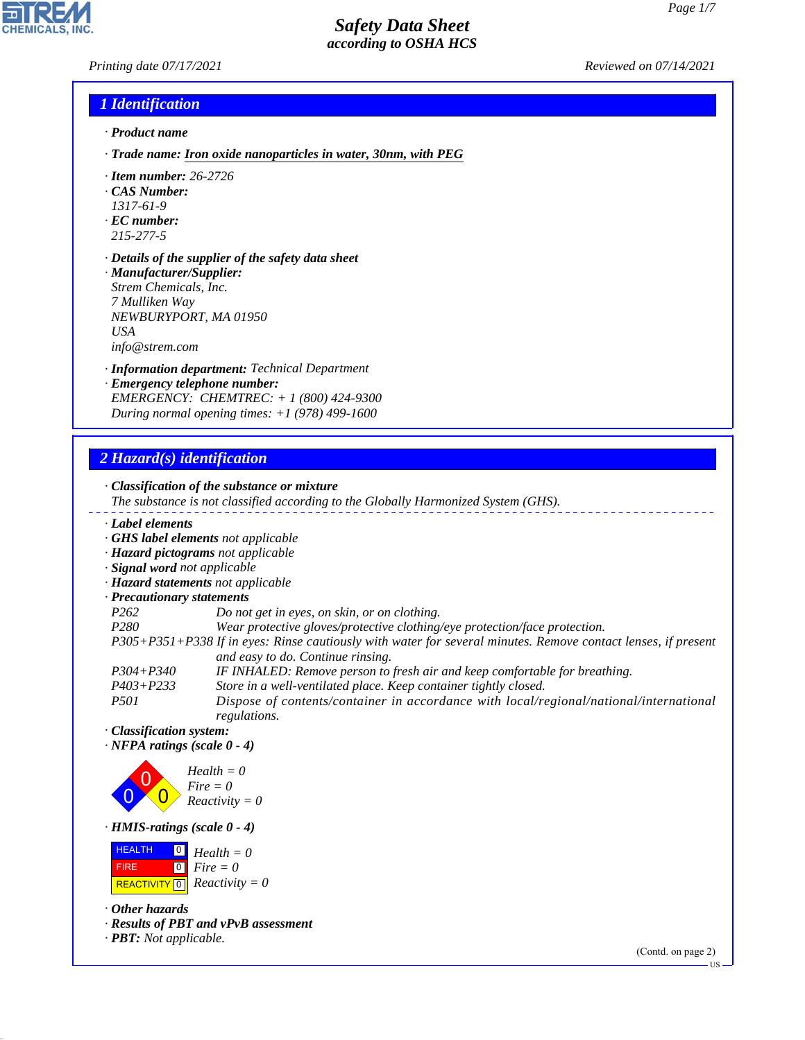*Printing date 07/17/2021 Reviewed on 07/14/2021*

## *1 Identification*

- *· Product name*
- *· Trade name: Iron oxide nanoparticles in water, 30nm, with PEG*
- *· Item number: 26-2726*
- *· CAS Number:*
- *1317-61-9*
- *· EC number: 215-277-5*
- *· Details of the supplier of the safety data sheet · Manufacturer/Supplier: Strem Chemicals, Inc. 7 Mulliken Way*
- *NEWBURYPORT, MA 01950 USA info@strem.com*
- *· Information department: Technical Department*
- *· Emergency telephone number: EMERGENCY: CHEMTREC: + 1 (800) 424-9300 During normal opening times: +1 (978) 499-1600*

## *2 Hazard(s) identification*

*· Classification of the substance or mixture The substance is not classified according to the Globally Harmonized System (GHS). · Label elements · GHS label elements not applicable · Hazard pictograms not applicable · Signal word not applicable · Hazard statements not applicable · Precautionary statements P262 Do not get in eyes, on skin, or on clothing. P280 Wear protective gloves/protective clothing/eye protection/face protection. P305+P351+P338 If in eyes: Rinse cautiously with water for several minutes. Remove contact lenses, if present and easy to do. Continue rinsing. P304+P340 IF INHALED: Remove person to fresh air and keep comfortable for breathing. P403+P233 Store in a well-ventilated place. Keep container tightly closed. P501 Dispose of contents/container in accordance with local/regional/national/international*

*regulations. · Classification system:*

*· NFPA ratings (scale 0 - 4)*



*· HMIS-ratings (scale 0 - 4)*

 HEALTH FIRE  $\boxed{\text{REACTIVITY} \boxed{0}}$  Reactivity = 0 0 *Health = 0* 0 *Fire = 0*

*· Other hazards*

44.1.1

*· Results of PBT and vPvB assessment*

*· PBT: Not applicable.*

(Contd. on page 2)

US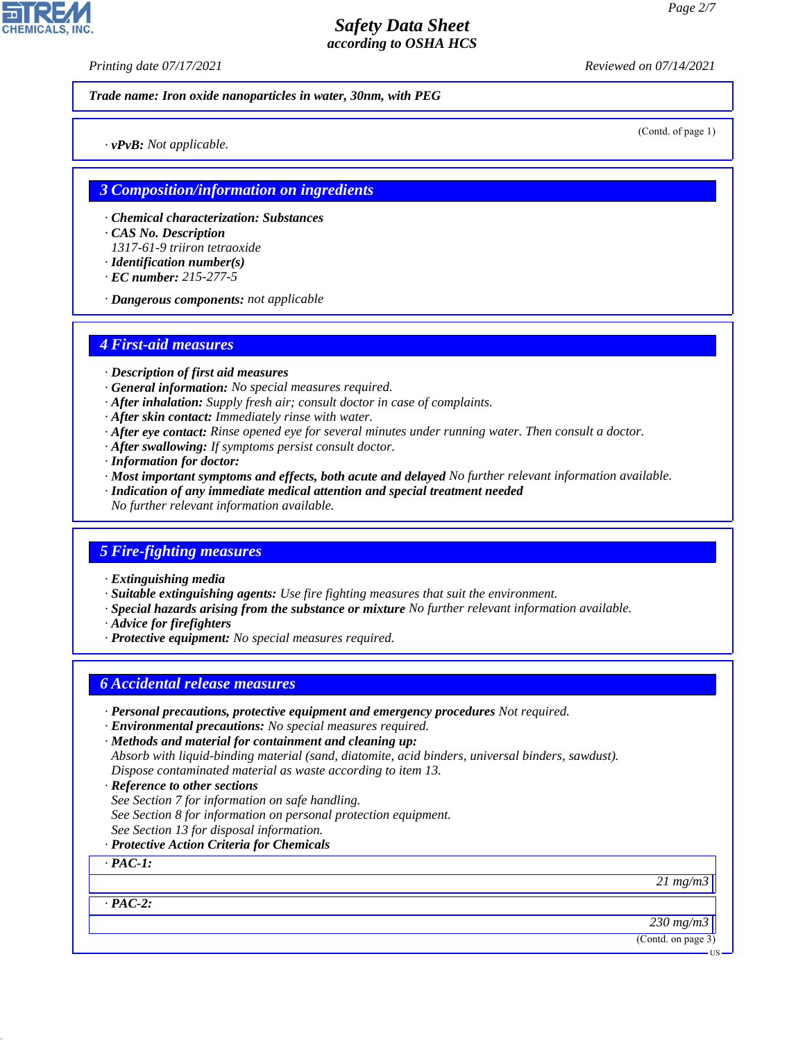*Printing date 07/17/2021 Reviewed on 07/14/2021*

*Trade name: Iron oxide nanoparticles in water, 30nm, with PEG*

(Contd. of page 1)

*· vPvB: Not applicable.*

## *3 Composition/information on ingredients*

- *· Chemical characterization: Substances*
- *· CAS No. Description*
- *1317-61-9 triiron tetraoxide*
- *· Identification number(s)*
- *· EC number: 215-277-5*
- *· Dangerous components: not applicable*

## *4 First-aid measures*

- *· Description of first aid measures*
- *· General information: No special measures required.*
- *· After inhalation: Supply fresh air; consult doctor in case of complaints.*
- *· After skin contact: Immediately rinse with water.*
- *· After eye contact: Rinse opened eye for several minutes under running water. Then consult a doctor.*
- *· After swallowing: If symptoms persist consult doctor.*
- *· Information for doctor:*
- *· Most important symptoms and effects, both acute and delayed No further relevant information available.*
- *· Indication of any immediate medical attention and special treatment needed*
- *No further relevant information available.*

## *5 Fire-fighting measures*

- *· Extinguishing media*
- *· Suitable extinguishing agents: Use fire fighting measures that suit the environment.*
- *· Special hazards arising from the substance or mixture No further relevant information available.*
- *· Advice for firefighters*
- *· Protective equipment: No special measures required.*

## *6 Accidental release measures*

- *· Personal precautions, protective equipment and emergency procedures Not required.*
- *· Environmental precautions: No special measures required.*
- *· Methods and material for containment and cleaning up: Absorb with liquid-binding material (sand, diatomite, acid binders, universal binders, sawdust). Dispose contaminated material as waste according to item 13.*
- *· Reference to other sections*
- *See Section 7 for information on safe handling.*
- *See Section 8 for information on personal protection equipment.*
- *See Section 13 for disposal information.*
- *· Protective Action Criteria for Chemicals*

*· PAC-1:*

*· PAC-2:*

44.1.1

*21 mg/m3*

*230 mg/m3*

(Contd. on page 3)

US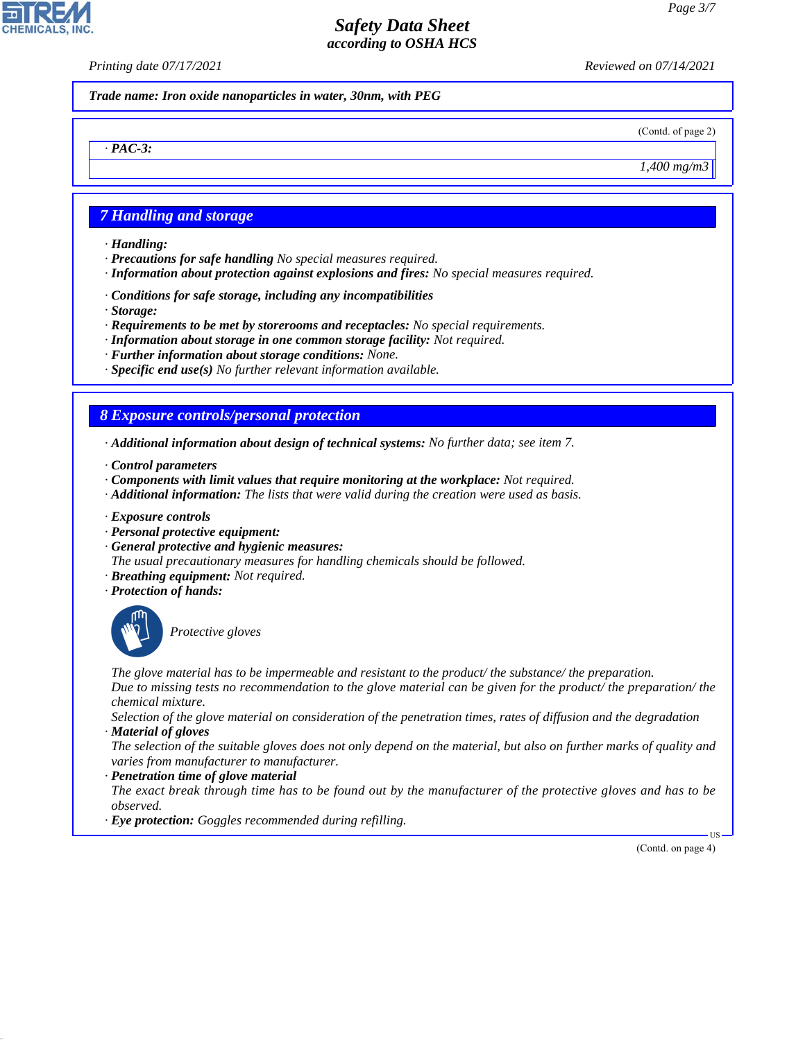*Printing date 07/17/2021 Reviewed on 07/14/2021*

*Trade name: Iron oxide nanoparticles in water, 30nm, with PEG*

(Contd. of page 2)

*1,400 mg/m3*

## *7 Handling and storage*

*· Handling:*

*· PAC-3:*

**CHEMICALS, INC** 

- *· Precautions for safe handling No special measures required.*
- *· Information about protection against explosions and fires: No special measures required.*
- *· Conditions for safe storage, including any incompatibilities*
- *· Storage:*
- *· Requirements to be met by storerooms and receptacles: No special requirements.*
- *· Information about storage in one common storage facility: Not required.*
- *· Further information about storage conditions: None.*
- *· Specific end use(s) No further relevant information available.*

## *8 Exposure controls/personal protection*

- *· Additional information about design of technical systems: No further data; see item 7.*
- *· Control parameters*
- *· Components with limit values that require monitoring at the workplace: Not required.*
- *· Additional information: The lists that were valid during the creation were used as basis.*
- *· Exposure controls*
- *· Personal protective equipment:*
- *· General protective and hygienic measures:*
- *The usual precautionary measures for handling chemicals should be followed.*
- *· Breathing equipment: Not required.*
- *· Protection of hands:*



44.1.1

\_S*Protective gloves*

*The glove material has to be impermeable and resistant to the product/ the substance/ the preparation. Due to missing tests no recommendation to the glove material can be given for the product/ the preparation/ the chemical mixture.*

*Selection of the glove material on consideration of the penetration times, rates of diffusion and the degradation · Material of gloves*

*The selection of the suitable gloves does not only depend on the material, but also on further marks of quality and varies from manufacturer to manufacturer.*

### *· Penetration time of glove material*

*The exact break through time has to be found out by the manufacturer of the protective gloves and has to be observed.*

*· Eye protection: Goggles recommended during refilling.*

(Contd. on page 4)

US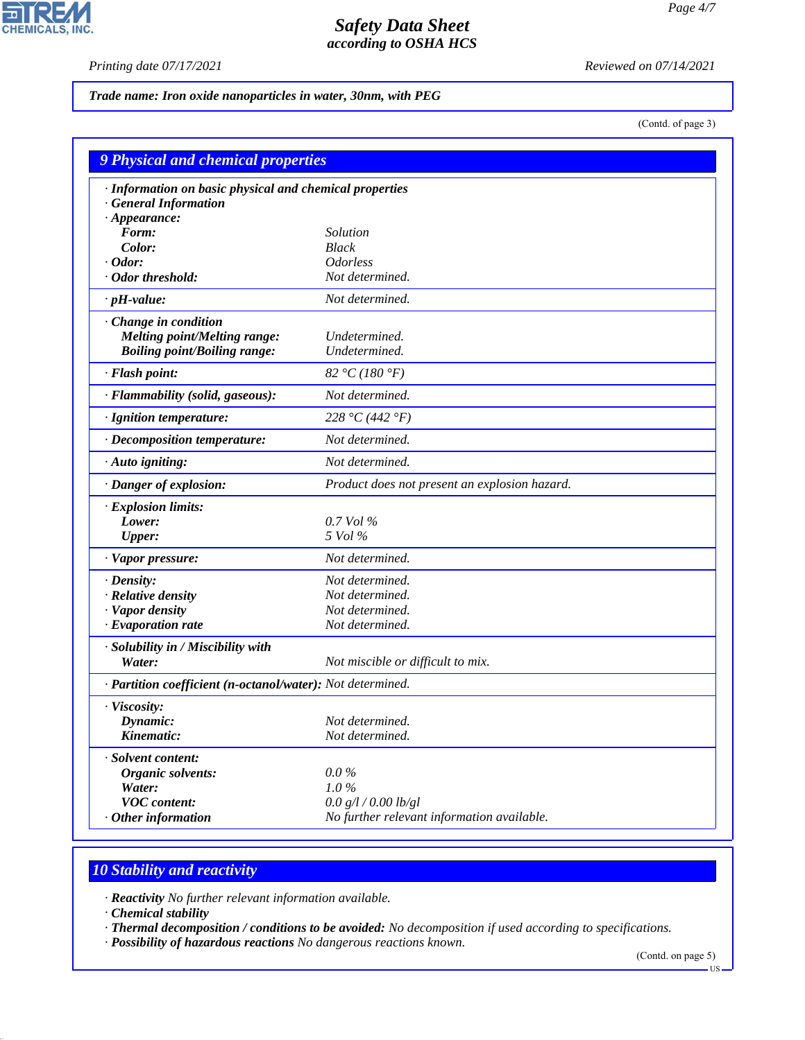$\mathbf{r}$ 

**CHEMICALS, INC.** 

*Printing date 07/17/2021 Reviewed on 07/14/2021*

*Trade name: Iron oxide nanoparticles in water, 30nm, with PEG*

(Contd. of page 3)

| 9 Physical and chemical properties                                                                      |                                               |  |
|---------------------------------------------------------------------------------------------------------|-----------------------------------------------|--|
| · Information on basic physical and chemical properties<br>· General Information<br>$\cdot$ Appearance: |                                               |  |
| Form:                                                                                                   | Solution                                      |  |
| Color:                                                                                                  | <b>Black</b>                                  |  |
| $\cdot$ Odor:                                                                                           | <i><b>Odorless</b></i>                        |  |
| Odor threshold:                                                                                         | Not determined.                               |  |
|                                                                                                         |                                               |  |
| $\cdot$ pH-value:                                                                                       | Not determined.                               |  |
| Change in condition                                                                                     |                                               |  |
| <b>Melting point/Melting range:</b>                                                                     | Undetermined.                                 |  |
| <b>Boiling point/Boiling range:</b>                                                                     | Undetermined.                                 |  |
| · Flash point:                                                                                          | 82 °C (180 °F)                                |  |
| · Flammability (solid, gaseous):                                                                        | Not determined.                               |  |
| · Ignition temperature:                                                                                 | 228 °C (442 °F)                               |  |
| · Decomposition temperature:                                                                            | Not determined.                               |  |
| $\cdot$ Auto igniting:                                                                                  | Not determined.                               |  |
| · Danger of explosion:                                                                                  | Product does not present an explosion hazard. |  |
| · Explosion limits:                                                                                     |                                               |  |
| Lower:                                                                                                  | $0.7$ Vol %                                   |  |
| <b>Upper:</b>                                                                                           | 5 Vol %                                       |  |
| · Vapor pressure:                                                                                       | Not determined.                               |  |
| $\cdot$ Density:                                                                                        | Not determined.                               |  |
| · Relative density                                                                                      | Not determined.                               |  |
| · Vapor density                                                                                         | Not determined.                               |  |
| · Evaporation rate                                                                                      | Not determined.                               |  |
| · Solubility in / Miscibility with<br>Water:                                                            | Not miscible or difficult to mix.             |  |
| · Partition coefficient (n-octanol/water): Not determined.                                              |                                               |  |
| · Viscosity:                                                                                            |                                               |  |
| Dynamic:                                                                                                | Not determined.                               |  |
| Kinematic:                                                                                              | Not determined.                               |  |
| · Solvent content:                                                                                      |                                               |  |
| Organic solvents:                                                                                       | $0.0\%$                                       |  |
| Water:                                                                                                  | $1.0\%$                                       |  |
| <b>VOC</b> content:                                                                                     | 0.0 g/l / 0.00 lb/gl                          |  |
| Other information                                                                                       | No further relevant information available.    |  |

# *10 Stability and reactivity*

*· Reactivity No further relevant information available.*

*· Chemical stability*

44.1.1

*· Thermal decomposition / conditions to be avoided: No decomposition if used according to specifications.*

*· Possibility of hazardous reactions No dangerous reactions known.*

(Contd. on page 5)

US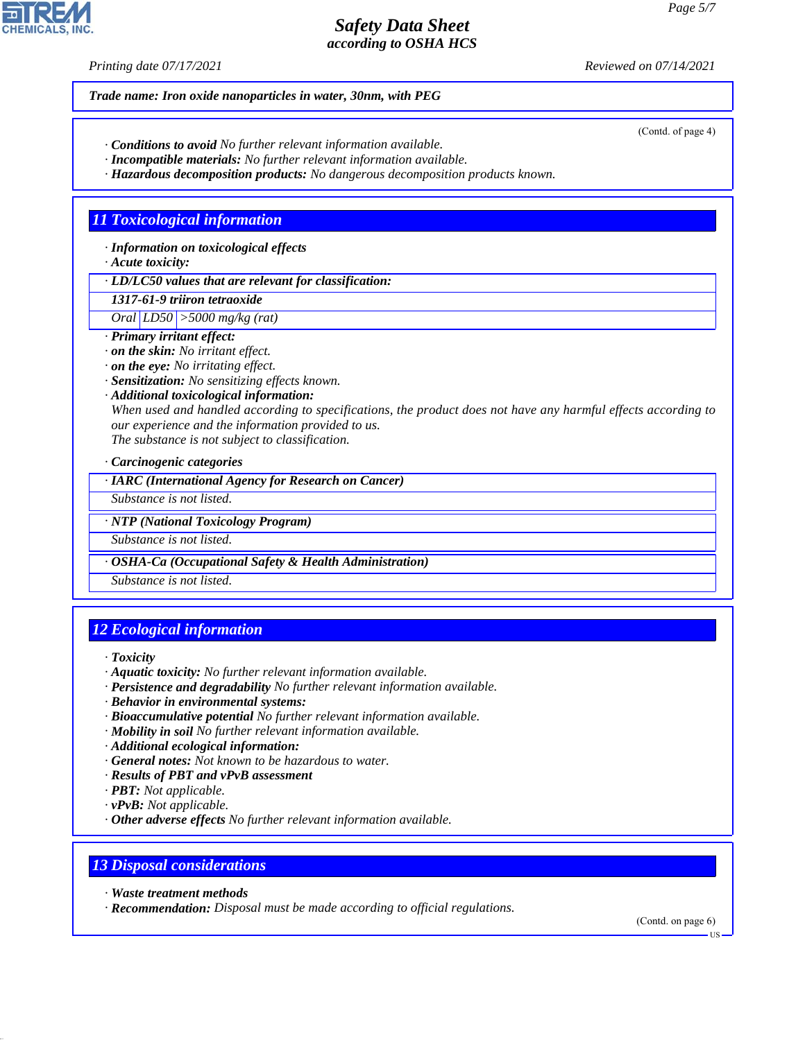*Printing date 07/17/2021 Reviewed on 07/14/2021*

(Contd. of page 4)

*Trade name: Iron oxide nanoparticles in water, 30nm, with PEG*

- *· Conditions to avoid No further relevant information available.*
- *· Incompatible materials: No further relevant information available.*
- *· Hazardous decomposition products: No dangerous decomposition products known.*

## *11 Toxicological information*

*· Information on toxicological effects*

*· Acute toxicity:*

*· LD/LC50 values that are relevant for classification:*

*1317-61-9 triiron tetraoxide Oral LD50 >5000 mg/kg (rat)*

- *· Primary irritant effect:*
- *· on the skin: No irritant effect.*
- *· on the eye: No irritating effect.*
- *· Sensitization: No sensitizing effects known.*
- *· Additional toxicological information:*

*When used and handled according to specifications, the product does not have any harmful effects according to our experience and the information provided to us.*

*The substance is not subject to classification.*

*· Carcinogenic categories*

*· IARC (International Agency for Research on Cancer)*

*Substance is not listed.*

*· NTP (National Toxicology Program)*

*Substance is not listed.*

*· OSHA-Ca (Occupational Safety & Health Administration)*

*Substance is not listed.*

## *12 Ecological information*

*· Toxicity*

- *· Aquatic toxicity: No further relevant information available.*
- *· Persistence and degradability No further relevant information available.*
- *· Behavior in environmental systems:*
- *· Bioaccumulative potential No further relevant information available.*
- *· Mobility in soil No further relevant information available.*
- *· Additional ecological information:*
- *· General notes: Not known to be hazardous to water.*
- *· Results of PBT and vPvB assessment*
- *· PBT: Not applicable.*
- *· vPvB: Not applicable.*
- *· Other adverse effects No further relevant information available.*

## *13 Disposal considerations*

*· Waste treatment methods*

44.1.1

*· Recommendation: Disposal must be made according to official regulations.*

(Contd. on page 6)

**HS**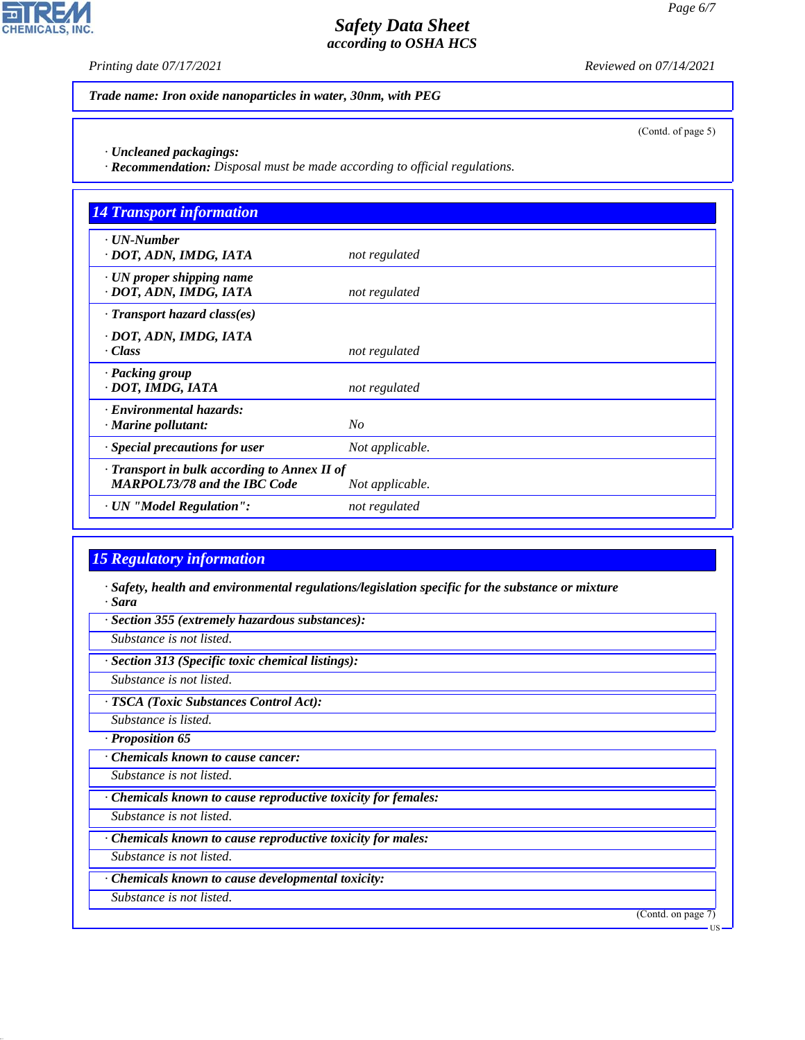**CHEMICALS, INC.** 

*Printing date 07/17/2021 Reviewed on 07/14/2021*

*Trade name: Iron oxide nanoparticles in water, 30nm, with PEG*

(Contd. of page 5)

*· Uncleaned packagings:*

*· Recommendation: Disposal must be made according to official regulations.*

| <b>14 Transport information</b>                                                           |                 |
|-------------------------------------------------------------------------------------------|-----------------|
| $\cdot$ UN-Number<br>· DOT, ADN, IMDG, IATA                                               | not regulated   |
| · UN proper shipping name<br>· DOT, ADN, IMDG, IATA                                       | not regulated   |
| $\cdot$ Transport hazard class(es)                                                        |                 |
| · DOT, ADN, IMDG, IATA<br>· Class                                                         | not regulated   |
| · Packing group<br>· DOT, IMDG, IATA                                                      | not regulated   |
| · Environmental hazards:<br>$\cdot$ Marine pollutant:                                     | N <sub>O</sub>  |
| · Special precautions for user                                                            | Not applicable. |
| $\cdot$ Transport in bulk according to Annex II of<br><b>MARPOL73/78 and the IBC Code</b> | Not applicable. |
| · UN "Model Regulation":                                                                  | not regulated   |

# *15 Regulatory information*

*· Safety, health and environmental regulations/legislation specific for the substance or mixture · Sara*

*· Section 355 (extremely hazardous substances):*

*Substance is not listed.*

*· Section 313 (Specific toxic chemical listings):*

*Substance is not listed.*

*· TSCA (Toxic Substances Control Act):*

*Substance is listed.*

*· Proposition 65*

*· Chemicals known to cause cancer:*

*Substance is not listed.*

*· Chemicals known to cause reproductive toxicity for females:*

*Substance is not listed.*

*· Chemicals known to cause reproductive toxicity for males:*

*Substance is not listed.*

*· Chemicals known to cause developmental toxicity:*

*Substance is not listed.*

44.1.1

(Contd. on page 7)

US